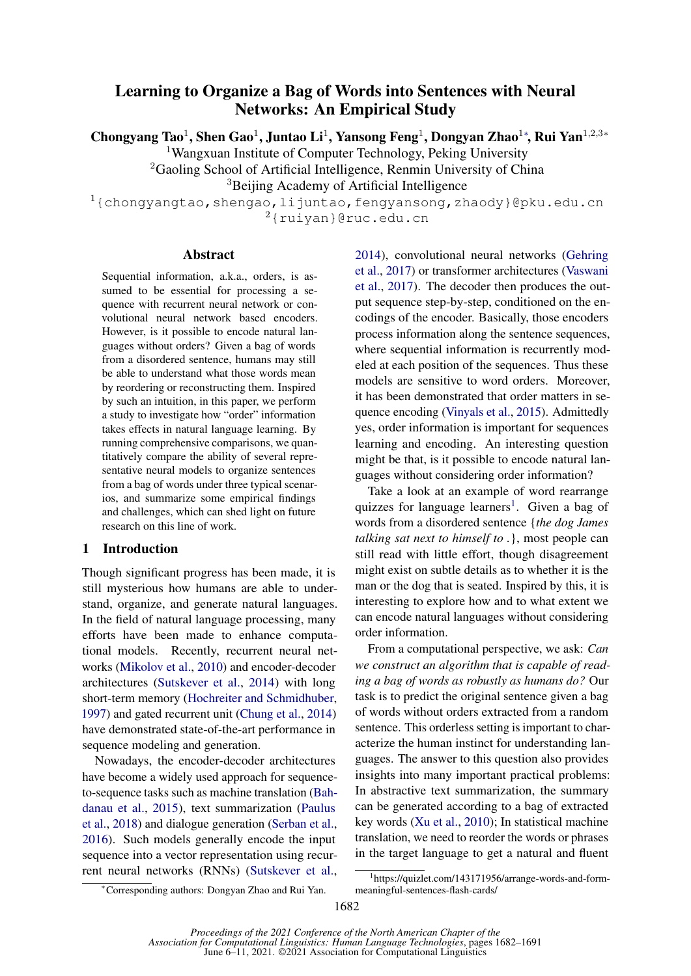# Learning to Organize a Bag of Words into Sentences with Neural Networks: An Empirical Study

Chongyang Tao<sup>1</sup>, Shen Gao<sup>1</sup>, Juntao Li<sup>1</sup>, Yansong Feng<sup>1</sup>, Dongyan Zhao<sup>1∗</sup>, Rui Yan<sup>1,2,3</sup>\*

<sup>1</sup>Wangxuan Institute of Computer Technology, Peking University

<sup>2</sup>Gaoling School of Artificial Intelligence, Renmin University of China

<sup>3</sup>Beijing Academy of Artificial Intelligence

 $1$ {chongyangtao,shengao,lijuntao,fengyansong,zhaody}@pku.edu.cn <sup>2</sup>{ruiyan}@ruc.edu.cn

### Abstract

Sequential information, a.k.a., orders, is assumed to be essential for processing a sequence with recurrent neural network or convolutional neural network based encoders. However, is it possible to encode natural languages without orders? Given a bag of words from a disordered sentence, humans may still be able to understand what those words mean by reordering or reconstructing them. Inspired by such an intuition, in this paper, we perform a study to investigate how "order" information takes effects in natural language learning. By running comprehensive comparisons, we quantitatively compare the ability of several representative neural models to organize sentences from a bag of words under three typical scenarios, and summarize some empirical findings and challenges, which can shed light on future research on this line of work.

### 1 Introduction

Though significant progress has been made, it is still mysterious how humans are able to understand, organize, and generate natural languages. In the field of natural language processing, many efforts have been made to enhance computational models. Recently, recurrent neural networks [\(Mikolov et al.,](#page-9-0) [2010\)](#page-9-0) and encoder-decoder architectures [\(Sutskever et al.,](#page-9-1) [2014\)](#page-9-1) with long short-term memory [\(Hochreiter and Schmidhuber,](#page-8-0) [1997\)](#page-8-0) and gated recurrent unit [\(Chung et al.,](#page-8-1) [2014\)](#page-8-1) have demonstrated state-of-the-art performance in sequence modeling and generation.

Nowadays, the encoder-decoder architectures have become a widely used approach for sequenceto-sequence tasks such as machine translation [\(Bah](#page-8-2)[danau et al.,](#page-8-2) [2015\)](#page-8-2), text summarization [\(Paulus](#page-9-2) [et al.,](#page-9-2) [2018\)](#page-9-2) and dialogue generation [\(Serban et al.,](#page-9-3) [2016\)](#page-9-3). Such models generally encode the input sequence into a vector representation using recurrent neural networks (RNNs) [\(Sutskever et al.,](#page-9-1) [2014\)](#page-9-1), convolutional neural networks [\(Gehring](#page-8-3) [et al.,](#page-8-3) [2017\)](#page-8-3) or transformer architectures [\(Vaswani](#page-9-4) [et al.,](#page-9-4) [2017\)](#page-9-4). The decoder then produces the output sequence step-by-step, conditioned on the encodings of the encoder. Basically, those encoders process information along the sentence sequences, where sequential information is recurrently modeled at each position of the sequences. Thus these models are sensitive to word orders. Moreover, it has been demonstrated that order matters in sequence encoding [\(Vinyals et al.,](#page-9-5) [2015\)](#page-9-5). Admittedly yes, order information is important for sequences learning and encoding. An interesting question might be that, is it possible to encode natural languages without considering order information?

Take a look at an example of word rearrange quizzes for language learners<sup>[1](#page-0-0)</sup>. Given a bag of words from a disordered sentence {*the dog James talking sat next to himself to .*}, most people can still read with little effort, though disagreement might exist on subtle details as to whether it is the man or the dog that is seated. Inspired by this, it is interesting to explore how and to what extent we can encode natural languages without considering order information.

From a computational perspective, we ask: *Can we construct an algorithm that is capable of reading a bag of words as robustly as humans do?* Our task is to predict the original sentence given a bag of words without orders extracted from a random sentence. This orderless setting is important to characterize the human instinct for understanding languages. The answer to this question also provides insights into many important practical problems: In abstractive text summarization, the summary can be generated according to a bag of extracted key words [\(Xu et al.,](#page-9-6) [2010\)](#page-9-6); In statistical machine translation, we need to reorder the words or phrases in the target language to get a natural and fluent

<sup>∗</sup>Corresponding authors: Dongyan Zhao and Rui Yan.

<span id="page-0-0"></span><sup>1</sup> https://quizlet.com/143171956/arrange-words-and-formmeaningful-sentences-flash-cards/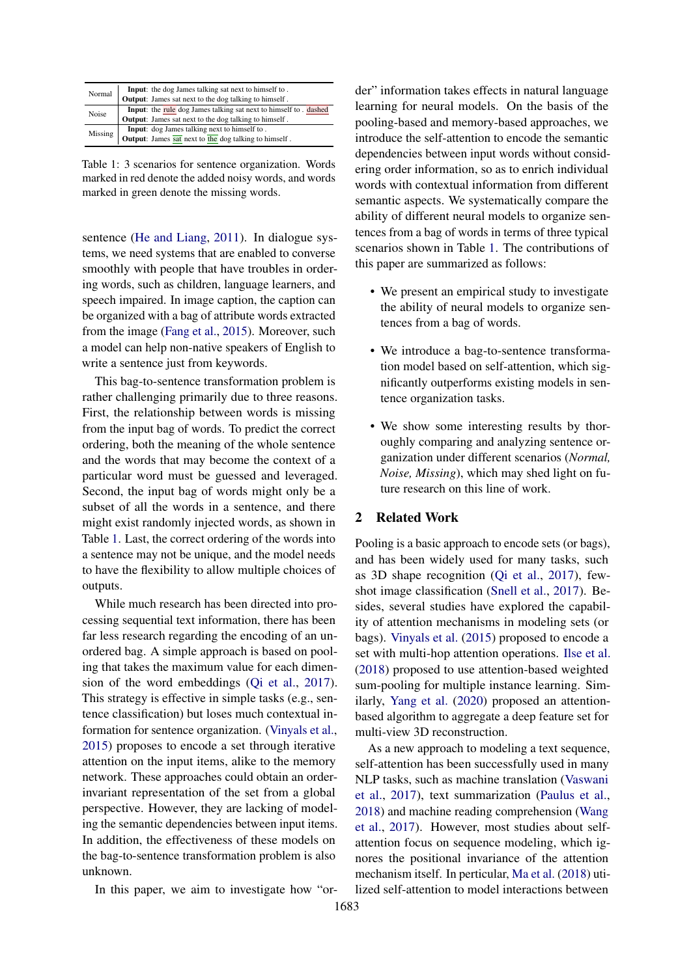<span id="page-1-0"></span>

| Normal  | <b>Input:</b> the dog James talking sat next to himself to.       |
|---------|-------------------------------------------------------------------|
|         | <b>Output:</b> James sat next to the dog talking to himself.      |
| Noise   | Input: the rule dog James talking sat next to himself to . dashed |
|         | <b>Output:</b> James sat next to the dog talking to himself.      |
| Missing | Input: dog James talking next to himself to.                      |
|         | Output: James sat next to the dog talking to himself.             |

Table 1: 3 scenarios for sentence organization. Words marked in red denote the added noisy words, and words marked in green denote the missing words.

sentence [\(He and Liang,](#page-8-4) [2011\)](#page-8-4). In dialogue systems, we need systems that are enabled to converse smoothly with people that have troubles in ordering words, such as children, language learners, and speech impaired. In image caption, the caption can be organized with a bag of attribute words extracted from the image [\(Fang et al.,](#page-8-5) [2015\)](#page-8-5). Moreover, such a model can help non-native speakers of English to write a sentence just from keywords.

This bag-to-sentence transformation problem is rather challenging primarily due to three reasons. First, the relationship between words is missing from the input bag of words. To predict the correct ordering, both the meaning of the whole sentence and the words that may become the context of a particular word must be guessed and leveraged. Second, the input bag of words might only be a subset of all the words in a sentence, and there might exist randomly injected words, as shown in Table [1.](#page-1-0) Last, the correct ordering of the words into a sentence may not be unique, and the model needs to have the flexibility to allow multiple choices of outputs.

While much research has been directed into processing sequential text information, there has been far less research regarding the encoding of an unordered bag. A simple approach is based on pooling that takes the maximum value for each dimension of the word embeddings [\(Qi et al.,](#page-9-7) [2017\)](#page-9-7). This strategy is effective in simple tasks (e.g., sentence classification) but loses much contextual information for sentence organization. [\(Vinyals et al.,](#page-9-5) [2015\)](#page-9-5) proposes to encode a set through iterative attention on the input items, alike to the memory network. These approaches could obtain an orderinvariant representation of the set from a global perspective. However, they are lacking of modeling the semantic dependencies between input items. In addition, the effectiveness of these models on the bag-to-sentence transformation problem is also unknown.

In this paper, we aim to investigate how "or-

der" information takes effects in natural language learning for neural models. On the basis of the pooling-based and memory-based approaches, we introduce the self-attention to encode the semantic dependencies between input words without considering order information, so as to enrich individual words with contextual information from different semantic aspects. We systematically compare the ability of different neural models to organize sentences from a bag of words in terms of three typical scenarios shown in Table [1.](#page-1-0) The contributions of this paper are summarized as follows:

- We present an empirical study to investigate the ability of neural models to organize sentences from a bag of words.
- We introduce a bag-to-sentence transformation model based on self-attention, which significantly outperforms existing models in sentence organization tasks.
- We show some interesting results by thoroughly comparing and analyzing sentence organization under different scenarios (*Normal, Noise, Missing*), which may shed light on future research on this line of work.

### 2 Related Work

Pooling is a basic approach to encode sets (or bags), and has been widely used for many tasks, such as 3D shape recognition [\(Qi et al.,](#page-9-7) [2017\)](#page-9-7), fewshot image classification [\(Snell et al.,](#page-9-8) [2017\)](#page-9-8). Besides, several studies have explored the capability of attention mechanisms in modeling sets (or bags). [Vinyals et al.](#page-9-5) [\(2015\)](#page-9-5) proposed to encode a set with multi-hop attention operations. [Ilse et al.](#page-8-6) [\(2018\)](#page-8-6) proposed to use attention-based weighted sum-pooling for multiple instance learning. Similarly, [Yang et al.](#page-9-9) [\(2020\)](#page-9-9) proposed an attentionbased algorithm to aggregate a deep feature set for multi-view 3D reconstruction.

As a new approach to modeling a text sequence, self-attention has been successfully used in many NLP tasks, such as machine translation [\(Vaswani](#page-9-4) [et al.,](#page-9-4) [2017\)](#page-9-4), text summarization [\(Paulus et al.,](#page-9-2) [2018\)](#page-9-2) and machine reading comprehension [\(Wang](#page-9-10) [et al.,](#page-9-10) [2017\)](#page-9-10). However, most studies about selfattention focus on sequence modeling, which ignores the positional invariance of the attention mechanism itself. In perticular, [Ma et al.](#page-8-7) [\(2018\)](#page-8-7) utilized self-attention to model interactions between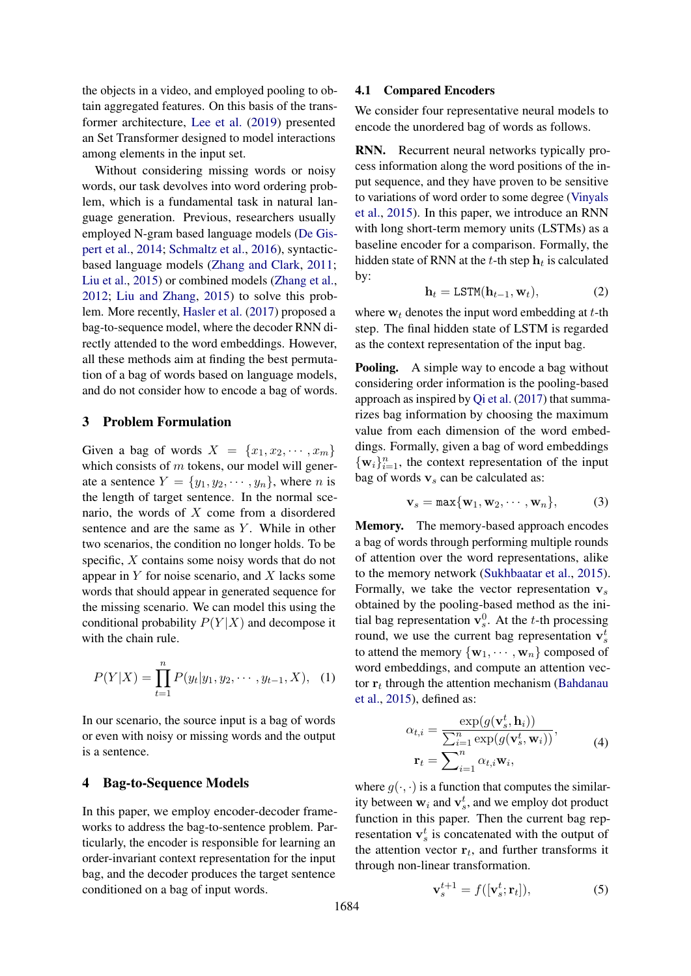the objects in a video, and employed pooling to obtain aggregated features. On this basis of the transformer architecture, [Lee et al.](#page-8-8) [\(2019\)](#page-8-8) presented an Set Transformer designed to model interactions among elements in the input set.

Without considering missing words or noisy words, our task devolves into word ordering problem, which is a fundamental task in natural language generation. Previous, researchers usually employed N-gram based language models [\(De Gis](#page-8-9)[pert et al.,](#page-8-9) [2014;](#page-8-9) [Schmaltz et al.,](#page-9-11) [2016\)](#page-9-11), syntacticbased language models [\(Zhang and Clark,](#page-9-12) [2011;](#page-9-12) [Liu et al.,](#page-8-10) [2015\)](#page-8-10) or combined models [\(Zhang et al.,](#page-9-13) [2012;](#page-9-13) [Liu and Zhang,](#page-8-11) [2015\)](#page-8-11) to solve this problem. More recently, [Hasler et al.](#page-8-12) [\(2017\)](#page-8-12) proposed a bag-to-sequence model, where the decoder RNN directly attended to the word embeddings. However, all these methods aim at finding the best permutation of a bag of words based on language models, and do not consider how to encode a bag of words.

### 3 Problem Formulation

Given a bag of words  $X = \{x_1, x_2, \dots, x_m\}$ which consists of  $m$  tokens, our model will generate a sentence  $Y = \{y_1, y_2, \dots, y_n\}$ , where *n* is the length of target sentence. In the normal scenario, the words of  $X$  come from a disordered sentence and are the same as  $Y$ . While in other two scenarios, the condition no longer holds. To be specific, X contains some noisy words that do not appear in  $Y$  for noise scenario, and  $X$  lacks some words that should appear in generated sequence for the missing scenario. We can model this using the conditional probability  $P(Y|X)$  and decompose it with the chain rule.

$$
P(Y|X) = \prod_{t=1}^{n} P(y_t|y_1, y_2, \cdots, y_{t-1}, X), \quad (1)
$$

In our scenario, the source input is a bag of words or even with noisy or missing words and the output is a sentence.

### 4 Bag-to-Sequence Models

In this paper, we employ encoder-decoder frameworks to address the bag-to-sentence problem. Particularly, the encoder is responsible for learning an order-invariant context representation for the input bag, and the decoder produces the target sentence conditioned on a bag of input words.

### 4.1 Compared Encoders

We consider four representative neural models to encode the unordered bag of words as follows.

RNN. Recurrent neural networks typically process information along the word positions of the input sequence, and they have proven to be sensitive to variations of word order to some degree [\(Vinyals](#page-9-5) [et al.,](#page-9-5) [2015\)](#page-9-5). In this paper, we introduce an RNN with long short-term memory units (LSTMs) as a baseline encoder for a comparison. Formally, the hidden state of RNN at the t-th step  $\mathbf{h}_t$  is calculated by:

$$
\mathbf{h}_t = \text{LSTM}(\mathbf{h}_{t-1}, \mathbf{w}_t),\tag{2}
$$

where  $w_t$  denotes the input word embedding at t-th step. The final hidden state of LSTM is regarded as the context representation of the input bag.

**Pooling.** A simple way to encode a bag without considering order information is the pooling-based approach as inspired by [Qi et al.](#page-9-7) [\(2017\)](#page-9-7) that summarizes bag information by choosing the maximum value from each dimension of the word embeddings. Formally, given a bag of word embeddings  $\{\mathbf w_i\}_{i=1}^n$ , the context representation of the input bag of words  $v<sub>s</sub>$  can be calculated as:

$$
\mathbf{v}_s = \max\{\mathbf{w}_1, \mathbf{w}_2, \cdots, \mathbf{w}_n\},\tag{3}
$$

Memory. The memory-based approach encodes a bag of words through performing multiple rounds of attention over the word representations, alike to the memory network [\(Sukhbaatar et al.,](#page-9-14) [2015\)](#page-9-14). Formally, we take the vector representation  $v_s$ obtained by the pooling-based method as the initial bag representation  $\mathbf{v}_s^0$ . At the t-th processing round, we use the current bag representation  $\mathbf{v}_s^t$ to attend the memory  $\{w_1, \dots, w_n\}$  composed of word embeddings, and compute an attention vector  $r_t$  through the attention mechanism [\(Bahdanau](#page-8-2) [et al.,](#page-8-2) [2015\)](#page-8-2), defined as:

$$
\alpha_{t,i} = \frac{\exp(g(\mathbf{v}_s^t, \mathbf{h}_i))}{\sum_{i=1}^n \exp(g(\mathbf{v}_s^t, \mathbf{w}_i))},
$$
  

$$
\mathbf{r}_t = \sum_{i=1}^n \alpha_{t,i} \mathbf{w}_i,
$$
 (4)

where  $g(\cdot, \cdot)$  is a function that computes the similarity between  $w_i$  and  $v_s^t$ , and we employ dot product function in this paper. Then the current bag representation  $v_s^t$  is concatenated with the output of the attention vector  $r_t$ , and further transforms it through non-linear transformation.

$$
\mathbf{v}_s^{t+1} = f([\mathbf{v}_s^t; \mathbf{r}_t]),\tag{5}
$$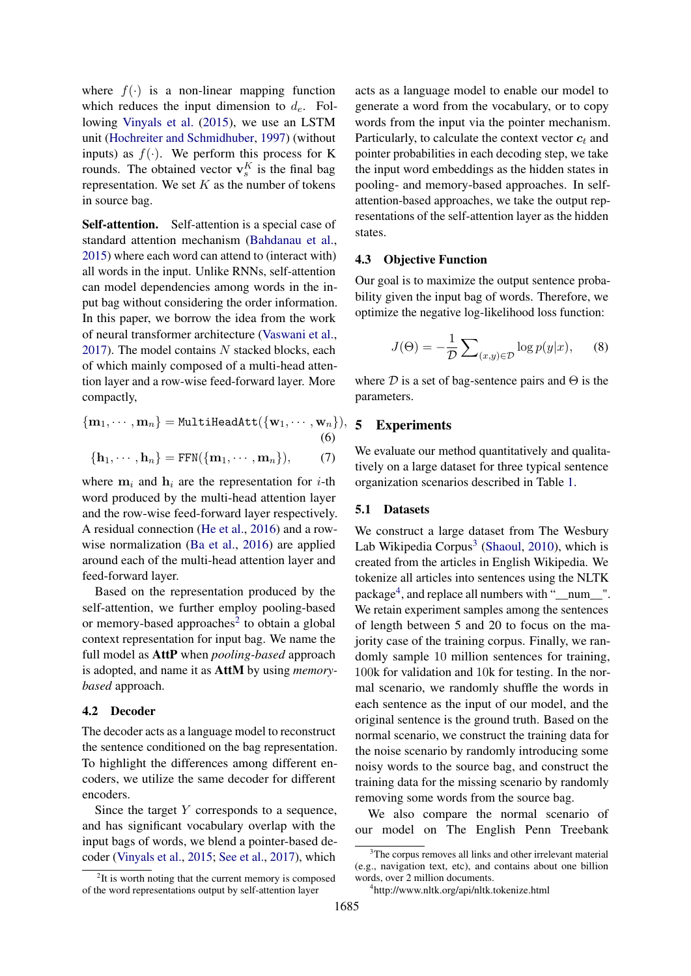where  $f(\cdot)$  is a non-linear mapping function which reduces the input dimension to  $d_e$ . Following [Vinyals et al.](#page-9-5) [\(2015\)](#page-9-5), we use an LSTM unit [\(Hochreiter and Schmidhuber,](#page-8-0) [1997\)](#page-8-0) (without inputs) as  $f(\cdot)$ . We perform this process for K rounds. The obtained vector  $\mathbf{v}_s^K$  is the final bag representation. We set  $K$  as the number of tokens in source bag.

Self-attention. Self-attention is a special case of standard attention mechanism [\(Bahdanau et al.,](#page-8-2) [2015\)](#page-8-2) where each word can attend to (interact with) all words in the input. Unlike RNNs, self-attention can model dependencies among words in the input bag without considering the order information. In this paper, we borrow the idea from the work of neural transformer architecture [\(Vaswani et al.,](#page-9-4) [2017\)](#page-9-4). The model contains  $N$  stacked blocks, each of which mainly composed of a multi-head attention layer and a row-wise feed-forward layer. More compactly,

$$
\{\mathbf m_1, \cdots, \mathbf m_n\} = \texttt{MultiHeadAtt}(\{\mathbf w_1, \cdots, \mathbf w_n\}),
$$
\n
$$
(6)
$$

$$
(\epsilon
$$

$$
\{\mathbf h_1,\cdots,\mathbf h_n\}=\text{FFN}(\{\mathbf m_1,\cdots,\mathbf m_n\}),\qquad(7)
$$

where  $m_i$  and  $h_i$  are the representation for *i*-th word produced by the multi-head attention layer and the row-wise feed-forward layer respectively. A residual connection [\(He et al.,](#page-8-13) [2016\)](#page-8-13) and a rowwise normalization [\(Ba et al.,](#page-8-14) [2016\)](#page-8-14) are applied around each of the multi-head attention layer and feed-forward layer.

Based on the representation produced by the self-attention, we further employ pooling-based or memory-based approaches<sup>[2](#page-3-0)</sup> to obtain a global context representation for input bag. We name the full model as AttP when *pooling-based* approach is adopted, and name it as AttM by using *memorybased* approach.

### 4.2 Decoder

The decoder acts as a language model to reconstruct the sentence conditioned on the bag representation. To highlight the differences among different encoders, we utilize the same decoder for different encoders.

Since the target  $Y$  corresponds to a sequence, and has significant vocabulary overlap with the input bags of words, we blend a pointer-based decoder [\(Vinyals et al.,](#page-9-5) [2015;](#page-9-5) [See et al.,](#page-9-15) [2017\)](#page-9-15), which

acts as a language model to enable our model to generate a word from the vocabulary, or to copy words from the input via the pointer mechanism. Particularly, to calculate the context vector  $c_t$  and pointer probabilities in each decoding step, we take the input word embeddings as the hidden states in pooling- and memory-based approaches. In selfattention-based approaches, we take the output representations of the self-attention layer as the hidden states.

### 4.3 Objective Function

Our goal is to maximize the output sentence probability given the input bag of words. Therefore, we optimize the negative log-likelihood loss function:

$$
J(\Theta) = -\frac{1}{\mathcal{D}} \sum_{(x,y)\in\mathcal{D}} \log p(y|x), \quad (8)
$$

where  $D$  is a set of bag-sentence pairs and  $\Theta$  is the parameters.

## <span id="page-3-4"></span><span id="page-3-3"></span> $\}$ , 5 Experiments

We evaluate our method quantitatively and qualitatively on a large dataset for three typical sentence organization scenarios described in Table [1.](#page-1-0)

### 5.1 Datasets

We construct a large dataset from The Wesbury Lab Wikipedia Corpus<sup>[3](#page-3-1)</sup> [\(Shaoul,](#page-9-16) [2010\)](#page-9-16), which is created from the articles in English Wikipedia. We tokenize all articles into sentences using the NLTK package<sup>[4](#page-3-2)</sup>, and replace all numbers with "\_num\_". We retain experiment samples among the sentences of length between 5 and 20 to focus on the majority case of the training corpus. Finally, we randomly sample 10 million sentences for training, 100k for validation and 10k for testing. In the normal scenario, we randomly shuffle the words in each sentence as the input of our model, and the original sentence is the ground truth. Based on the normal scenario, we construct the training data for the noise scenario by randomly introducing some noisy words to the source bag, and construct the training data for the missing scenario by randomly removing some words from the source bag.

We also compare the normal scenario of our model on The English Penn Treebank

<span id="page-3-0"></span><sup>&</sup>lt;sup>2</sup>It is worth noting that the current memory is composed of the word representations output by self-attention layer

<span id="page-3-1"></span><sup>&</sup>lt;sup>3</sup>The corpus removes all links and other irrelevant material (e.g., navigation text, etc), and contains about one billion words, over 2 million documents.

<span id="page-3-2"></span><sup>4</sup> http://www.nltk.org/api/nltk.tokenize.html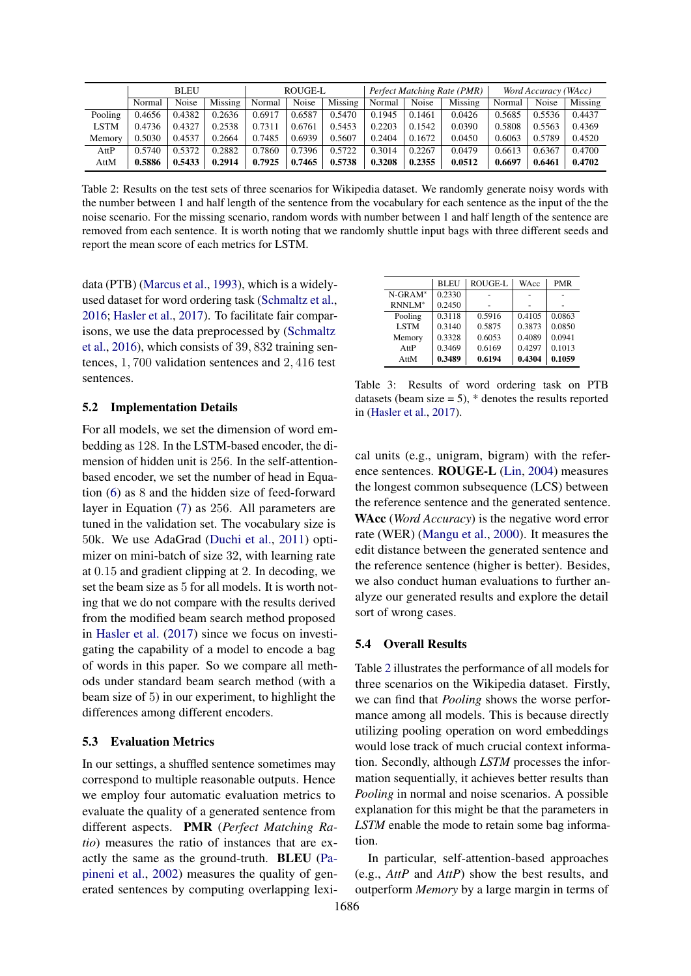<span id="page-4-0"></span>

|         | <b>BLEU</b> |        | ROUGE-L |        |        | Perfect Matching Rate (PMR) |        |        | Word Accuracy (WAcc) |        |        |         |
|---------|-------------|--------|---------|--------|--------|-----------------------------|--------|--------|----------------------|--------|--------|---------|
|         | Normal      | Noise  | Missing | Normal | Noise  | Missing                     | Normal | Noise  | Missing              | Normal | Noise  | Missing |
| Pooling | 0.4656      | 0.4382 | 0.2636  | 0.6917 | 0.6587 | 0.5470                      | 0.1945 | 0.1461 | 0.0426               | 0.5685 | 0.5536 | 0.4437  |
| LSTM    | 0.4736      | 0.4327 | 0.2538  | 0.7311 | 0.6761 | 0.5453                      | 0.2203 | 0.1542 | 0.0390               | 0.5808 | 0.5563 | 0.4369  |
| Memory  | 0.5030      | 0.4537 | 0.2664  | 0.7485 | 0.6939 | 0.5607                      | 0.2404 | 0.1672 | 0.0450               | 0.6063 | 0.5789 | 0.4520  |
| AttP    | 0.5740      | 0.5372 | 0.2882  | 0.7860 | 0.7396 | 0.5722                      | 0.3014 | 0.2267 | 0.0479               | 0.6613 | 0.6367 | 0.4700  |
| AttM    | 0.5886      | 0.5433 | 0.2914  | 0.7925 | 0.7465 | 0.5738                      | 0.3208 | 0.2355 | 0.0512               | 0.6697 | 0.6461 | 0.4702  |

Table 2: Results on the test sets of three scenarios for Wikipedia dataset. We randomly generate noisy words with the number between 1 and half length of the sentence from the vocabulary for each sentence as the input of the the noise scenario. For the missing scenario, random words with number between 1 and half length of the sentence are removed from each sentence. It is worth noting that we randomly shuttle input bags with three different seeds and report the mean score of each metrics for LSTM.

data (PTB) [\(Marcus et al.,](#page-9-17) [1993\)](#page-9-17), which is a widelyused dataset for word ordering task [\(Schmaltz et al.,](#page-9-11) [2016;](#page-9-11) [Hasler et al.,](#page-8-12) [2017\)](#page-8-12). To facilitate fair comparisons, we use the data preprocessed by [\(Schmaltz](#page-9-11) [et al.,](#page-9-11) [2016\)](#page-9-11), which consists of 39, 832 training sentences, 1, 700 validation sentences and 2, 416 test sentences.

### 5.2 Implementation Details

For all models, we set the dimension of word embedding as 128. In the LSTM-based encoder, the dimension of hidden unit is 256. In the self-attentionbased encoder, we set the number of head in Equation [\(6\)](#page-3-3) as 8 and the hidden size of feed-forward layer in Equation [\(7\)](#page-3-4) as 256. All parameters are tuned in the validation set. The vocabulary size is 50k. We use AdaGrad [\(Duchi et al.,](#page-8-15) [2011\)](#page-8-15) optimizer on mini-batch of size 32, with learning rate at 0.15 and gradient clipping at 2. In decoding, we set the beam size as 5 for all models. It is worth noting that we do not compare with the results derived from the modified beam search method proposed in [Hasler et al.](#page-8-12) [\(2017\)](#page-8-12) since we focus on investigating the capability of a model to encode a bag of words in this paper. So we compare all methods under standard beam search method (with a beam size of 5) in our experiment, to highlight the differences among different encoders.

### 5.3 Evaluation Metrics

In our settings, a shuffled sentence sometimes may correspond to multiple reasonable outputs. Hence we employ four automatic evaluation metrics to evaluate the quality of a generated sentence from different aspects. PMR (*Perfect Matching Ratio*) measures the ratio of instances that are exactly the same as the ground-truth. BLEU [\(Pa](#page-9-18)[pineni et al.,](#page-9-18) [2002\)](#page-9-18) measures the quality of generated sentences by computing overlapping lexi-

<span id="page-4-1"></span>

|                    | <b>BLEU</b> | <b>ROUGE-L</b> | WAcc   | <b>PMR</b> |
|--------------------|-------------|----------------|--------|------------|
| $N-GRAM^*$         | 0.2330      |                |        |            |
| RNNLM <sup>*</sup> | 0.2450      |                |        |            |
| Pooling            | 0.3118      | 0.5916         | 0.4105 | 0.0863     |
| <b>LSTM</b>        | 0.3140      | 0.5875         | 0.3873 | 0.0850     |
| Memory             | 0.3328      | 0.6053         | 0.4089 | 0.0941     |
| AttP               | 0.3469      | 0.6169         | 0.4297 | 0.1013     |
| AttM               | 0.3489      | 0.6194         | 0.4304 | 0.1059     |

Table 3: Results of word ordering task on PTB datasets (beam size  $= 5$ ),  $*$  denotes the results reported in [\(Hasler et al.,](#page-8-12) [2017\)](#page-8-12).

cal units (e.g., unigram, bigram) with the reference sentences. ROUGE-L [\(Lin,](#page-8-16) [2004\)](#page-8-16) measures the longest common subsequence (LCS) between the reference sentence and the generated sentence. WAcc (*Word Accuracy*) is the negative word error rate (WER) [\(Mangu et al.,](#page-9-19) [2000\)](#page-9-19). It measures the edit distance between the generated sentence and the reference sentence (higher is better). Besides, we also conduct human evaluations to further analyze our generated results and explore the detail sort of wrong cases.

### 5.4 Overall Results

Table [2](#page-4-0) illustrates the performance of all models for three scenarios on the Wikipedia dataset. Firstly, we can find that *Pooling* shows the worse performance among all models. This is because directly utilizing pooling operation on word embeddings would lose track of much crucial context information. Secondly, although *LSTM* processes the information sequentially, it achieves better results than *Pooling* in normal and noise scenarios. A possible explanation for this might be that the parameters in *LSTM* enable the mode to retain some bag information.

In particular, self-attention-based approaches (e.g., *AttP* and *AttP*) show the best results, and outperform *Memory* by a large margin in terms of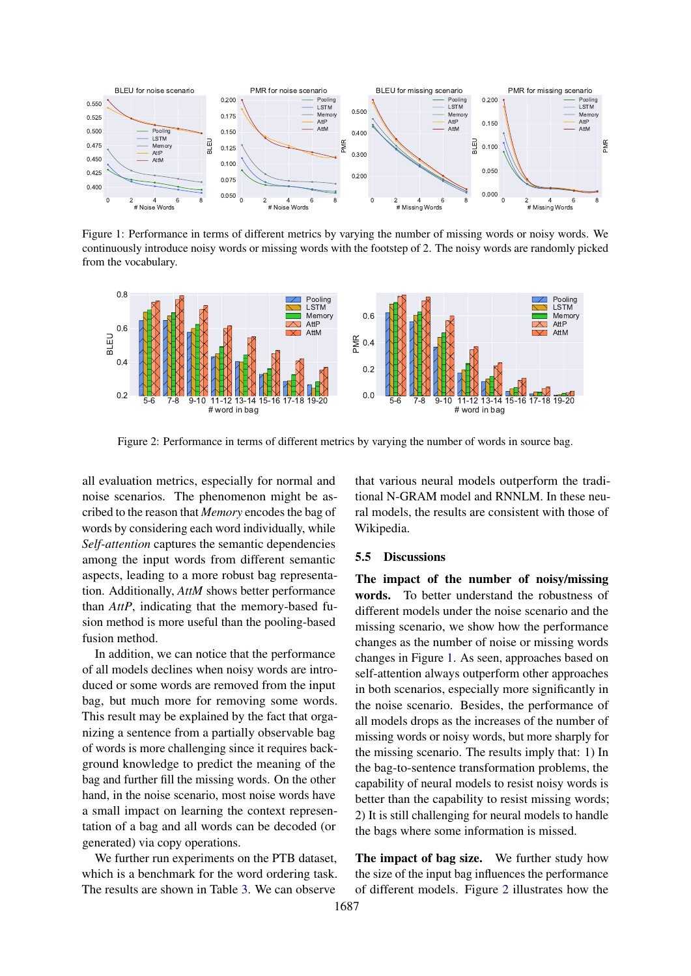<span id="page-5-0"></span>

Figure 1: Performance in terms of different metrics by varying the number of missing words or noisy words. We continuously introduce noisy words or missing words with the footstep of 2. The noisy words are randomly picked from the vocabulary.

<span id="page-5-1"></span>

Figure 2: Performance in terms of different metrics by varying the number of words in source bag.

all evaluation metrics, especially for normal and noise scenarios. The phenomenon might be ascribed to the reason that *Memory* encodes the bag of words by considering each word individually, while *Self-attention* captures the semantic dependencies among the input words from different semantic aspects, leading to a more robust bag representation. Additionally, *AttM* shows better performance than *AttP*, indicating that the memory-based fusion method is more useful than the pooling-based fusion method.

In addition, we can notice that the performance of all models declines when noisy words are introduced or some words are removed from the input bag, but much more for removing some words. This result may be explained by the fact that organizing a sentence from a partially observable bag of words is more challenging since it requires background knowledge to predict the meaning of the bag and further fill the missing words. On the other hand, in the noise scenario, most noise words have a small impact on learning the context representation of a bag and all words can be decoded (or generated) via copy operations.

We further run experiments on the PTB dataset. which is a benchmark for the word ordering task. The results are shown in Table [3.](#page-4-1) We can observe

that various neural models outperform the traditional N-GRAM model and RNNLM. In these neural models, the results are consistent with those of Wikipedia.

### 5.5 Discussions

The impact of the number of noisy/missing words. To better understand the robustness of different models under the noise scenario and the missing scenario, we show how the performance changes as the number of noise or missing words changes in Figure [1.](#page-5-0) As seen, approaches based on self-attention always outperform other approaches in both scenarios, especially more significantly in the noise scenario. Besides, the performance of all models drops as the increases of the number of missing words or noisy words, but more sharply for the missing scenario. The results imply that: 1) In the bag-to-sentence transformation problems, the capability of neural models to resist noisy words is better than the capability to resist missing words; 2) It is still challenging for neural models to handle the bags where some information is missed.

The impact of bag size. We further study how the size of the input bag influences the performance of different models. Figure [2](#page-5-1) illustrates how the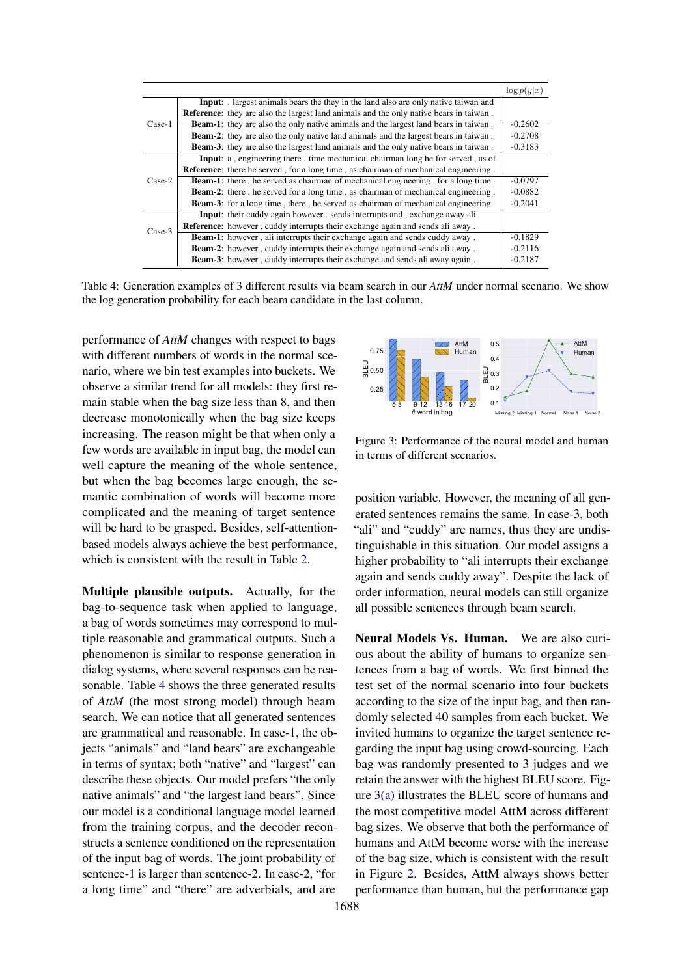<span id="page-6-0"></span>

|          |                                                                                               | $\log p(y x)$ |
|----------|-----------------------------------------------------------------------------------------------|---------------|
| Case-1   | <b>Input:</b> largest animals bears the they in the land also are only native taiwan and      |               |
|          | <b>Reference:</b> they are also the largest land animals and the only native bears in taiwan. |               |
|          | <b>Beam-1:</b> they are also the only native animals and the largest land bears in taiwan.    | $-0.2602$     |
|          | <b>Beam-2:</b> they are also the only native land animals and the largest bears in taiwan.    | $-0.2708$     |
|          | <b>Beam-3:</b> they are also the largest land animals and the only native bears in taiwan.    | $-0.3183$     |
|          | <b>Input:</b> a, engineering there, time mechanical chairman long he for served, as of        |               |
|          | <b>Reference:</b> there he served, for a long time, as chairman of mechanical engineering.    |               |
| $Case-2$ | <b>Beam-1:</b> there, he served as chairman of mechanical engineering, for a long time.       | $-0.0797$     |
|          | <b>Beam-2:</b> there, he served for a long time, as chairman of mechanical engineering.       | $-0.0882$     |
|          | <b>Beam-3:</b> for a long time, there, he served as chairman of mechanical engineering.       | $-0.2041$     |
|          | Input: their cuddy again however . sends interrupts and , exchange away ali                   |               |
| $Case-3$ | <b>Reference:</b> however, cuddy interrupts their exchange again and sends ali away.          |               |
|          | <b>Beam-1:</b> however, ali interrupts their exchange again and sends cuddy away.             | $-0.1829$     |
|          | Beam-2: however, cuddy interrupts their exchange again and sends all away.                    | $-0.2116$     |
|          | <b>Beam-3:</b> however, cuddy interrupts their exchange and sends all away again.             | $-0.2187$     |

Table 4: Generation examples of 3 different results via beam search in our *AttM* under normal scenario. We show the log generation probability for each beam candidate in the last column.

performance of *AttM* changes with respect to bags with different numbers of words in the normal scenario, where we bin test examples into buckets. We observe a similar trend for all models: they first remain stable when the bag size less than 8, and then decrease monotonically when the bag size keeps increasing. The reason might be that when only a few words are available in input bag, the model can well capture the meaning of the whole sentence, but when the bag becomes large enough, the semantic combination of words will become more complicated and the meaning of target sentence will be hard to be grasped. Besides, self-attentionbased models always achieve the best performance, which is consistent with the result in Table [2.](#page-4-0)

Multiple plausible outputs. Actually, for the bag-to-sequence task when applied to language, a bag of words sometimes may correspond to multiple reasonable and grammatical outputs. Such a phenomenon is similar to response generation in dialog systems, where several responses can be reasonable. Table [4](#page-6-0) shows the three generated results of *AttM* (the most strong model) through beam search. We can notice that all generated sentences are grammatical and reasonable. In case-1, the objects "animals" and "land bears" are exchangeable in terms of syntax; both "native" and "largest" can describe these objects. Our model prefers "the only native animals" and "the largest land bears". Since our model is a conditional language model learned from the training corpus, and the decoder reconstructs a sentence conditioned on the representation of the input bag of words. The joint probability of sentence-1 is larger than sentence-2. In case-2, "for a long time" and "there" are adverbials, and are

<span id="page-6-1"></span>

<span id="page-6-2"></span>Figure 3: Performance of the neural model and human in terms of different scenarios.

position variable. However, the meaning of all generated sentences remains the same. In case-3, both "ali" and "cuddy" are names, thus they are undistinguishable in this situation. Our model assigns a higher probability to "ali interrupts their exchange again and sends cuddy away". Despite the lack of order information, neural models can still organize all possible sentences through beam search.

Neural Models Vs. Human. We are also curious about the ability of humans to organize sentences from a bag of words. We first binned the test set of the normal scenario into four buckets according to the size of the input bag, and then randomly selected 40 samples from each bucket. We invited humans to organize the target sentence regarding the input bag using crowd-sourcing. Each bag was randomly presented to 3 judges and we retain the answer with the highest BLEU score. Figure [3\(a\)](#page-6-1) illustrates the BLEU score of humans and the most competitive model AttM across different bag sizes. We observe that both the performance of humans and AttM become worse with the increase of the bag size, which is consistent with the result in Figure [2.](#page-5-1) Besides, AttM always shows better performance than human, but the performance gap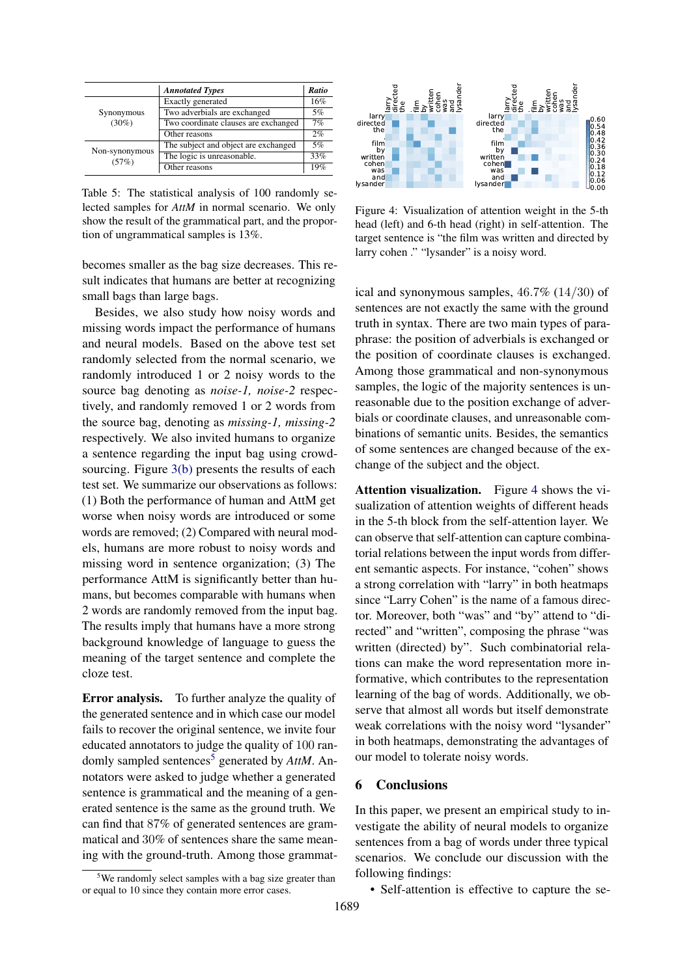|                | <b>Annotated Types</b>               | Ratio |
|----------------|--------------------------------------|-------|
|                | Exactly generated                    | 16%   |
| Synonymous     | Two adverbials are exchanged         | 5%    |
| $(30\%)$       | Two coordinate clauses are exchanged | 7%    |
|                | Other reasons                        | 2%    |
| Non-synonymous | The subject and object are exchanged | 5%    |
| (57%)          | The logic is unreasonable.           | 33%   |
|                | Other reasons                        | 19%   |

Table 5: The statistical analysis of 100 randomly selected samples for *AttM* in normal scenario. We only show the result of the grammatical part, and the proportion of ungrammatical samples is 13%.

becomes smaller as the bag size decreases. This result indicates that humans are better at recognizing small bags than large bags.

Besides, we also study how noisy words and missing words impact the performance of humans and neural models. Based on the above test set randomly selected from the normal scenario, we randomly introduced 1 or 2 noisy words to the source bag denoting as *noise-1, noise-2* respectively, and randomly removed 1 or 2 words from the source bag, denoting as *missing-1, missing-2* respectively. We also invited humans to organize a sentence regarding the input bag using crowdsourcing. Figure [3\(b\)](#page-6-2) presents the results of each test set. We summarize our observations as follows: (1) Both the performance of human and AttM get worse when noisy words are introduced or some words are removed; (2) Compared with neural models, humans are more robust to noisy words and missing word in sentence organization; (3) The performance AttM is significantly better than humans, but becomes comparable with humans when 2 words are randomly removed from the input bag. The results imply that humans have a more strong background knowledge of language to guess the meaning of the target sentence and complete the cloze test.

Error analysis. To further analyze the quality of the generated sentence and in which case our model fails to recover the original sentence, we invite four educated annotators to judge the quality of 100 ran-domly sampled sentences<sup>[5](#page-7-0)</sup> generated by *AttM*. Annotators were asked to judge whether a generated sentence is grammatical and the meaning of a generated sentence is the same as the ground truth. We can find that 87% of generated sentences are grammatical and 30% of sentences share the same meaning with the ground-truth. Among those grammat-

<span id="page-7-0"></span>

<span id="page-7-1"></span>

Figure 4: Visualization of attention weight in the 5-th head (left) and 6-th head (right) in self-attention. The target sentence is "the film was written and directed by larry cohen ." "lysander" is a noisy word.

ical and synonymous samples, 46.7% (14/30) of sentences are not exactly the same with the ground truth in syntax. There are two main types of paraphrase: the position of adverbials is exchanged or the position of coordinate clauses is exchanged. Among those grammatical and non-synonymous samples, the logic of the majority sentences is unreasonable due to the position exchange of adverbials or coordinate clauses, and unreasonable combinations of semantic units. Besides, the semantics of some sentences are changed because of the exchange of the subject and the object.

Attention visualization. Figure [4](#page-7-1) shows the visualization of attention weights of different heads in the 5-th block from the self-attention layer. We can observe that self-attention can capture combinatorial relations between the input words from different semantic aspects. For instance, "cohen" shows a strong correlation with "larry" in both heatmaps since "Larry Cohen" is the name of a famous director. Moreover, both "was" and "by" attend to "directed" and "written", composing the phrase "was written (directed) by". Such combinatorial relations can make the word representation more informative, which contributes to the representation learning of the bag of words. Additionally, we observe that almost all words but itself demonstrate weak correlations with the noisy word "lysander" in both heatmaps, demonstrating the advantages of our model to tolerate noisy words.

### 6 Conclusions

In this paper, we present an empirical study to investigate the ability of neural models to organize sentences from a bag of words under three typical scenarios. We conclude our discussion with the following findings:

• Self-attention is effective to capture the se-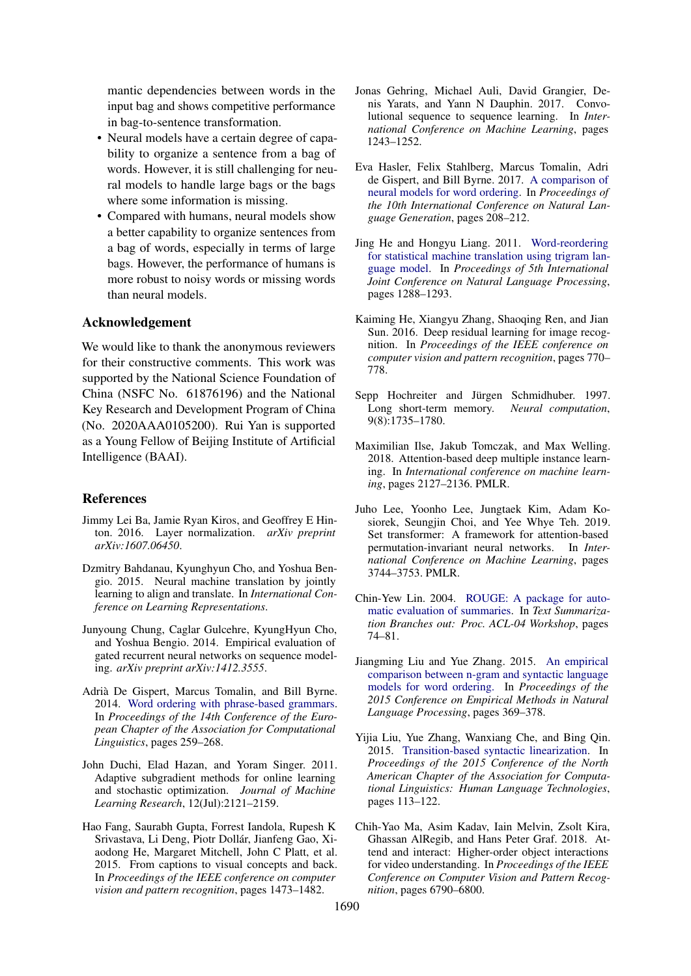mantic dependencies between words in the input bag and shows competitive performance in bag-to-sentence transformation.

- Neural models have a certain degree of capability to organize a sentence from a bag of words. However, it is still challenging for neural models to handle large bags or the bags where some information is missing.
- Compared with humans, neural models show a better capability to organize sentences from a bag of words, especially in terms of large bags. However, the performance of humans is more robust to noisy words or missing words than neural models.

## Acknowledgement

We would like to thank the anonymous reviewers for their constructive comments. This work was supported by the National Science Foundation of China (NSFC No. 61876196) and the National Key Research and Development Program of China (No. 2020AAA0105200). Rui Yan is supported as a Young Fellow of Beijing Institute of Artificial Intelligence (BAAI).

### References

- <span id="page-8-14"></span>Jimmy Lei Ba, Jamie Ryan Kiros, and Geoffrey E Hinton. 2016. Layer normalization. *arXiv preprint arXiv:1607.06450*.
- <span id="page-8-2"></span>Dzmitry Bahdanau, Kyunghyun Cho, and Yoshua Bengio. 2015. Neural machine translation by jointly learning to align and translate. In *International Conference on Learning Representations*.
- <span id="page-8-1"></span>Junyoung Chung, Caglar Gulcehre, KyungHyun Cho, and Yoshua Bengio. 2014. Empirical evaluation of gated recurrent neural networks on sequence modeling. *arXiv preprint arXiv:1412.3555*.
- <span id="page-8-9"></span>Adrià De Gispert, Marcus Tomalin, and Bill Byrne. 2014. [Word ordering with phrase-based grammars.](https://doi.org/10.3115/v1/E14-1028) In *Proceedings of the 14th Conference of the European Chapter of the Association for Computational Linguistics*, pages 259–268.
- <span id="page-8-15"></span>John Duchi, Elad Hazan, and Yoram Singer. 2011. Adaptive subgradient methods for online learning and stochastic optimization. *Journal of Machine Learning Research*, 12(Jul):2121–2159.
- <span id="page-8-5"></span>Hao Fang, Saurabh Gupta, Forrest Iandola, Rupesh K Srivastava, Li Deng, Piotr Dollár, Jianfeng Gao, Xiaodong He, Margaret Mitchell, John C Platt, et al. 2015. From captions to visual concepts and back. In *Proceedings of the IEEE conference on computer vision and pattern recognition*, pages 1473–1482.
- <span id="page-8-3"></span>Jonas Gehring, Michael Auli, David Grangier, Denis Yarats, and Yann N Dauphin. 2017. Convolutional sequence to sequence learning. In *International Conference on Machine Learning*, pages 1243–1252.
- <span id="page-8-12"></span>Eva Hasler, Felix Stahlberg, Marcus Tomalin, Adri de Gispert, and Bill Byrne. 2017. [A comparison of](http://aclweb.org/anthology/W17-3531) [neural models for word ordering.](http://aclweb.org/anthology/W17-3531) In *Proceedings of the 10th International Conference on Natural Language Generation*, pages 208–212.
- <span id="page-8-4"></span>Jing He and Hongyu Liang. 2011. [Word-reordering](http://aclweb.org/anthology/I11-1144) [for statistical machine translation using trigram lan](http://aclweb.org/anthology/I11-1144)[guage model.](http://aclweb.org/anthology/I11-1144) In *Proceedings of 5th International Joint Conference on Natural Language Processing*, pages 1288–1293.
- <span id="page-8-13"></span>Kaiming He, Xiangyu Zhang, Shaoqing Ren, and Jian Sun. 2016. Deep residual learning for image recognition. In *Proceedings of the IEEE conference on computer vision and pattern recognition*, pages 770– 778.
- <span id="page-8-0"></span>Sepp Hochreiter and Jürgen Schmidhuber. 1997. Long short-term memory. *Neural computation*, 9(8):1735–1780.
- <span id="page-8-6"></span>Maximilian Ilse, Jakub Tomczak, and Max Welling. 2018. Attention-based deep multiple instance learning. In *International conference on machine learning*, pages 2127–2136. PMLR.
- <span id="page-8-8"></span>Juho Lee, Yoonho Lee, Jungtaek Kim, Adam Kosiorek, Seungjin Choi, and Yee Whye Teh. 2019. Set transformer: A framework for attention-based permutation-invariant neural networks. In *International Conference on Machine Learning*, pages 3744–3753. PMLR.
- <span id="page-8-16"></span>Chin-Yew Lin. 2004. [ROUGE: A package for auto](http://aclweb.org/anthology/W04-1013)[matic evaluation of summaries.](http://aclweb.org/anthology/W04-1013) In *Text Summarization Branches out: Proc. ACL-04 Workshop*, pages 74–81.
- <span id="page-8-11"></span>Jiangming Liu and Yue Zhang. 2015. [An empirical](https://doi.org/10.18653/v1/D15-1043) [comparison between n-gram and syntactic language](https://doi.org/10.18653/v1/D15-1043) [models for word ordering.](https://doi.org/10.18653/v1/D15-1043) In *Proceedings of the 2015 Conference on Empirical Methods in Natural Language Processing*, pages 369–378.
- <span id="page-8-10"></span>Yijia Liu, Yue Zhang, Wanxiang Che, and Bing Qin. 2015. [Transition-based syntactic linearization.](https://doi.org/10.3115/v1/N15-1012) In *Proceedings of the 2015 Conference of the North American Chapter of the Association for Computational Linguistics: Human Language Technologies*, pages 113–122.
- <span id="page-8-7"></span>Chih-Yao Ma, Asim Kadav, Iain Melvin, Zsolt Kira, Ghassan AlRegib, and Hans Peter Graf. 2018. Attend and interact: Higher-order object interactions for video understanding. In *Proceedings of the IEEE Conference on Computer Vision and Pattern Recognition*, pages 6790–6800.